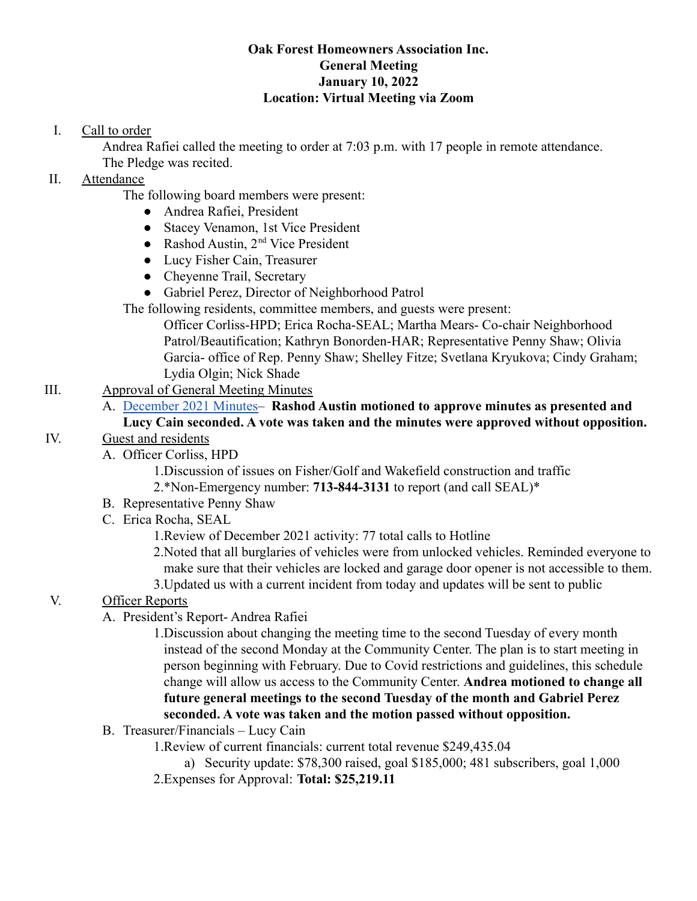### **Oak Forest Homeowners Association Inc. General Meeting January 10, 2022 Location: Virtual Meeting via Zoom**

## I. Call to order

Andrea Rafiei called the meeting to order at 7:03 p.m. with 17 people in remote attendance. The Pledge was recited.

## II. Attendance

The following board members were present:

- Andrea Rafiei, President
- Stacey Venamon, 1st Vice President
- Rashod Austin,  $2<sup>nd</sup>$  Vice President
- Lucy Fisher Cain, Treasurer
- Chevenne Trail, Secretary
- Gabriel Perez, Director of Neighborhood Patrol

The following residents, committee members, and guests were present:

Officer Corliss-HPD; Erica Rocha-SEAL; Martha Mears- Co-chair Neighborhood Patrol/Beautification; Kathryn Bonorden-HAR; Representative Penny Shaw; Olivia Garcia- office of Rep. Penny Shaw; Shelley Fitze; Svetlana Kryukova; Cindy Graham; Lydia Olgin; Nick Shade

# III. Approval of General Meeting Minutes

## A. [December 2021 Minutes–](https://drive.google.com/file/d/16mAjFHHWpTDK_1r2xJdyCO6vSzy4hGbh/view?usp=sharing) **Rashod Austin motioned to approve minutes as presented and Lucy Cain seconded. A vote was taken and the minutes were approved without opposition.**

### IV. Guest and residents

A. Officer Corliss, HPD

1.Discussion of issues on Fisher/Golf and Wakefield construction and traffic 2.\*Non-Emergency number: **713-844-3131** to report (and call SEAL)\*

- B. Representative Penny Shaw
- C. Erica Rocha, SEAL

1.Review of December 2021 activity: 77 total calls to Hotline

2.Noted that all burglaries of vehicles were from unlocked vehicles. Reminded everyone to make sure that their vehicles are locked and garage door opener is not accessible to them.

3.Updated us with a current incident from today and updates will be sent to public

# V. Officer Reports

A. President's Report- Andrea Rafiei

1.Discussion about changing the meeting time to the second Tuesday of every month instead of the second Monday at the Community Center. The plan is to start meeting in person beginning with February. Due to Covid restrictions and guidelines, this schedule change will allow us access to the Community Center. **Andrea motioned to change all future general meetings to the second Tuesday of the month and Gabriel Perez seconded. A vote was taken and the motion passed without opposition.**

B. Treasurer/Financials – Lucy Cain

1.Review of current financials: current total revenue \$249,435.04

a) Security update: \$78,300 raised, goal \$185,000; 481 subscribers, goal 1,000

2.Expenses for Approval: **Total: \$25,219.11**